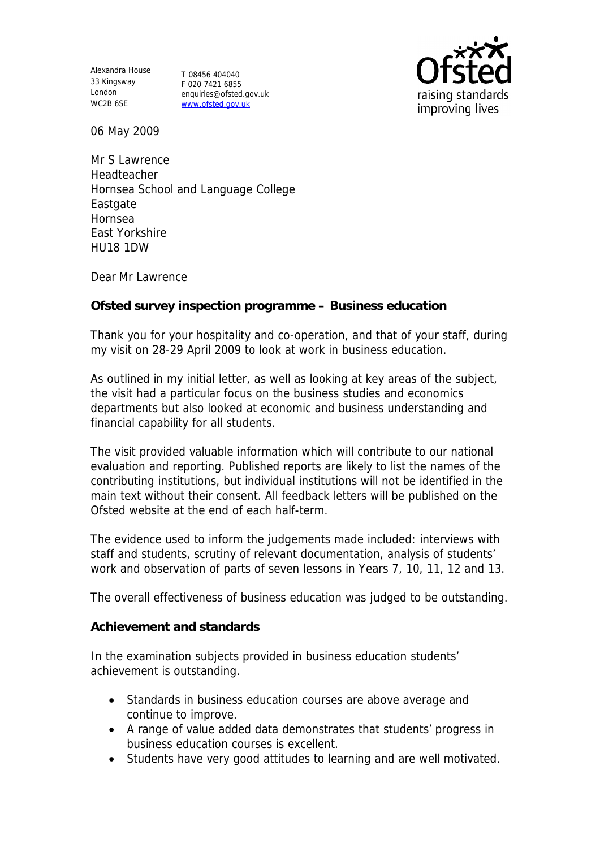Alexandra House 33 Kingsway T 08456 404040 London WC2B 6SE

F 020 7421 6855 enquiries@ofsted.gov.uk www.ofsted.gov.uk



06 May 2009

Mr S Lawrence **Headteacher** Hornsea School and Language College **Eastgate** Hornsea East Yorkshire HU18 1DW

Dear Mr Lawrence

**Ofsted survey inspection programme – Business education**

Thank you for your hospitality and co-operation, and that of your staff, during my visit on 28-29 April 2009 to look at work in business education.

As outlined in my initial letter, as well as looking at key areas of the subject, the visit had a particular focus on the business studies and economics departments but also looked at economic and business understanding and financial capability for all students.

The visit provided valuable information which will contribute to our national evaluation and reporting. Published reports are likely to list the names of the contributing institutions, but individual institutions will not be identified in the main text without their consent. All feedback letters will be published on the Ofsted website at the end of each half-term.

The evidence used to inform the judgements made included: interviews with staff and students, scrutiny of relevant documentation, analysis of students' work and observation of parts of seven lessons in Years 7, 10, 11, 12 and 13.

The overall effectiveness of business education was judged to be outstanding.

**Achievement and standards** 

In the examination subjects provided in business education students' achievement is outstanding.

- Standards in business education courses are above average and continue to improve.
- A range of value added data demonstrates that students' progress in business education courses is excellent.
- Students have very good attitudes to learning and are well motivated.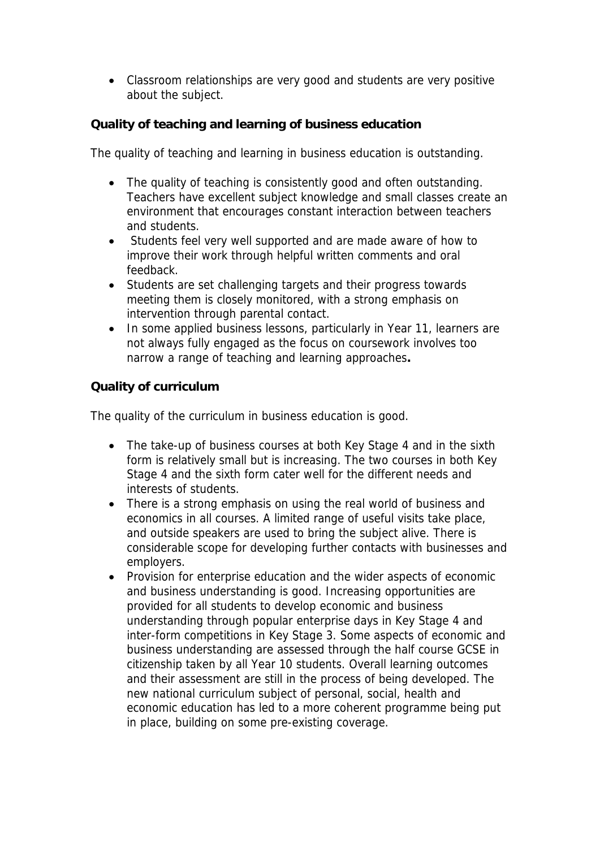Classroom relationships are very good and students are very positive about the subject.

**Quality of teaching and learning of business education**

The quality of teaching and learning in business education is outstanding.

- The quality of teaching is consistently good and often outstanding. Teachers have excellent subject knowledge and small classes create an environment that encourages constant interaction between teachers and students.
- Students feel very well supported and are made aware of how to improve their work through helpful written comments and oral feedback.
- Students are set challenging targets and their progress towards meeting them is closely monitored, with a strong emphasis on intervention through parental contact.
- In some applied business lessons, particularly in Year 11, learners are not always fully engaged as the focus on coursework involves too narrow a range of teaching and learning approaches**.**

**Quality of curriculum** 

The quality of the curriculum in business education is good.

- The take-up of business courses at both Key Stage 4 and in the sixth form is relatively small but is increasing. The two courses in both Key Stage 4 and the sixth form cater well for the different needs and interests of students.
- There is a strong emphasis on using the real world of business and economics in all courses. A limited range of useful visits take place, and outside speakers are used to bring the subject alive. There is considerable scope for developing further contacts with businesses and employers.
- Provision for enterprise education and the wider aspects of economic and business understanding is good. Increasing opportunities are provided for all students to develop economic and business understanding through popular enterprise days in Key Stage 4 and inter-form competitions in Key Stage 3. Some aspects of economic and business understanding are assessed through the half course GCSE in citizenship taken by all Year 10 students. Overall learning outcomes and their assessment are still in the process of being developed. The new national curriculum subject of personal, social, health and economic education has led to a more coherent programme being put in place, building on some pre-existing coverage.